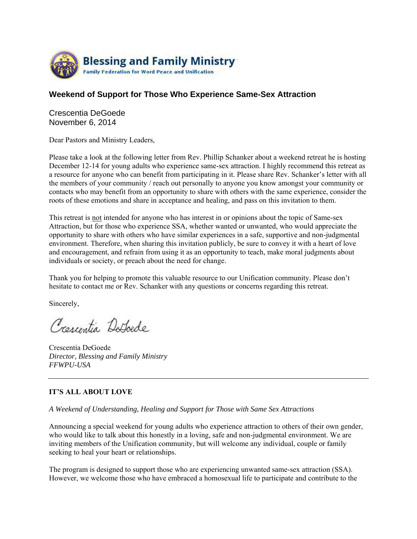

## **Weekend of Support for Those Who Experience Same-Sex Attraction**

Crescentia DeGoede November 6, 2014

Dear Pastors and Ministry Leaders,

Please take a look at the following letter from Rev. Phillip Schanker about a weekend retreat he is hosting December 12-14 for young adults who experience same-sex attraction. I highly recommend this retreat as a resource for anyone who can benefit from participating in it. Please share Rev. Schanker's letter with all the members of your community / reach out personally to anyone you know amongst your community or contacts who may benefit from an opportunity to share with others with the same experience, consider the roots of these emotions and share in acceptance and healing, and pass on this invitation to them.

This retreat is not intended for anyone who has interest in or opinions about the topic of Same-sex Attraction, but for those who experience SSA, whether wanted or unwanted, who would appreciate the opportunity to share with others who have similar experiences in a safe, supportive and non-judgmental environment. Therefore, when sharing this invitation publicly, be sure to convey it with a heart of love and encouragement, and refrain from using it as an opportunity to teach, make moral judgments about individuals or society, or preach about the need for change.

Thank you for helping to promote this valuable resource to our Unification community. Please don't hesitate to contact me or Rev. Schanker with any questions or concerns regarding this retreat.

Sincerely,

Crescentia Defoede

Crescentia DeGoede *Director, Blessing and Family Ministry FFWPU-USA*

## **IT'S ALL ABOUT LOVE**

*A Weekend of Understanding, Healing and Support for Those with Same Sex Attractions* 

Announcing a special weekend for young adults who experience attraction to others of their own gender, who would like to talk about this honestly in a loving, safe and non-judgmental environment. We are inviting members of the Unification community, but will welcome any individual, couple or family seeking to heal your heart or relationships.

The program is designed to support those who are experiencing unwanted same-sex attraction (SSA). However, we welcome those who have embraced a homosexual life to participate and contribute to the